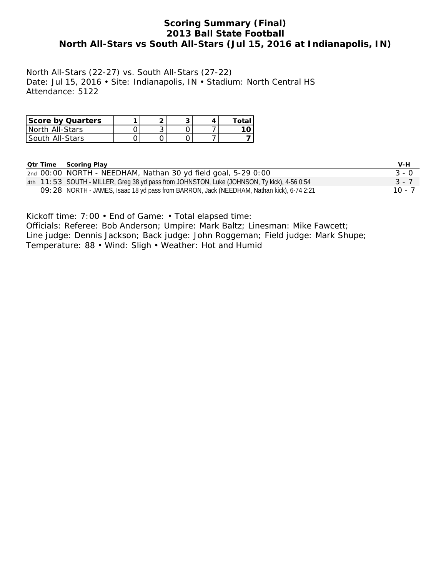## **Scoring Summary (Final) 2013 Ball State Football North All-Stars vs South All-Stars (Jul 15, 2016 at Indianapolis, IN)**

North All-Stars (22-27) vs. South All-Stars (27-22) Date: Jul 15, 2016 • Site: Indianapolis, IN • Stadium: North Central HS Attendance: 5122

| <b>Score by Quarters</b> |   |  | Total |
|--------------------------|---|--|-------|
| l North All-Stars        | ັ |  |       |
| l South All-Stars        |   |  |       |

| <b>Qtr Time</b> | Scoring Play                                                                                | V-H      |
|-----------------|---------------------------------------------------------------------------------------------|----------|
|                 | 2nd 00:00 NORTH - NEEDHAM, Nathan 30 yd field goal, 5-29 0:00                               | $3 - 0$  |
|                 | 4th 11:53 SOUTH - MILLER, Greg 38 yd pass from JOHNSTON, Luke (JOHNSON, Ty kick), 4-56 0:54 | $3 - 7$  |
|                 | O9: 28 NORTH - JAMES, Isaac 18 yd pass from BARRON, Jack (NEEDHAM, Nathan kick), 6-74 2:21  | $10 - 7$ |

Kickoff time: 7:00 • End of Game: • Total elapsed time:

Officials: Referee: Bob Anderson; Umpire: Mark Baltz; Linesman: Mike Fawcett; Line judge: Dennis Jackson; Back judge: John Roggeman; Field judge: Mark Shupe; Temperature: 88 • Wind: Sligh • Weather: Hot and Humid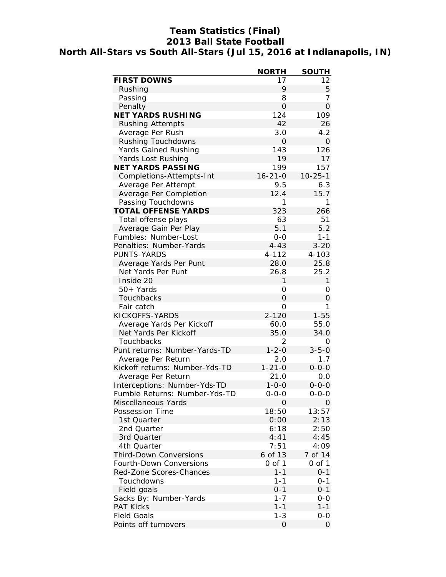# **Team Statistics (Final) 2013 Ball State Football North All-Stars vs South All-Stars (Jul 15, 2016 at Indianapolis, IN)**

|                                                      | <b>NORTH</b>        | <b>SOUTH</b>       |
|------------------------------------------------------|---------------------|--------------------|
| <b>FIRST DOWNS</b>                                   | 17                  | 12                 |
| Rushing                                              | 9                   | 5                  |
| Passing                                              | 8                   | 7                  |
| Penalty                                              | $\overline{O}$      | $\overline{O}$     |
| <b>NET YARDS RUSHING</b>                             | 124                 | 109                |
| <b>Rushing Attempts</b>                              | 42                  | 26                 |
| Average Per Rush                                     | 3.0                 | 4.2                |
| <b>Rushing Touchdowns</b>                            | 0                   | 0                  |
| Yards Gained Rushing                                 | 143                 | 126                |
| Yards Lost Rushing                                   | 19                  | 17                 |
| <b>NET YARDS PASSING</b>                             | 199                 | 157                |
| Completions-Attempts-Int                             | $16 - 21 - 0$       | $10 - 25 - 1$      |
| Average Per Attempt                                  | 9.5                 | 6.3                |
| Average Per Completion                               | 12.4                | 15.7               |
| Passing Touchdowns                                   | 1                   | 1                  |
| <b>TOTAL OFFENSE YARDS</b>                           | 323                 | 266                |
| Total offense plays                                  | 63                  | 51                 |
| Average Gain Per Play                                | 5.1                 | 5.2                |
| Fumbles: Number-Lost                                 | $0-0$               | $1 - 1$            |
| Penalties: Number-Yards                              | $4 - 43$            | $3 - 20$           |
| PUNTS-YARDS                                          | $4 - 112$           | 4-103              |
| Average Yards Per Punt                               | 28.0                | 25.8               |
| Net Yards Per Punt                                   | 26.8                | 25.2               |
| Inside 20                                            | 1                   | $\mathbf{1}$       |
| $50+Yards$                                           | 0                   | 0                  |
| Touchbacks                                           | $\overline{O}$      | 0                  |
| Fair catch                                           | 0                   | 1                  |
| KICKOFFS-YARDS                                       | $2 - 120$           | $1 - 55$           |
| Average Yards Per Kickoff                            | 60.0                | 55.0               |
| Net Yards Per Kickoff                                | 35.0                | 34.0               |
| Touchbacks                                           | 2                   | 0                  |
| Punt returns: Number-Yards-TD                        | $1 - 2 - 0$         | $3 - 5 - 0$        |
|                                                      |                     |                    |
| Average Per Return<br>Kickoff returns: Number-Yds-TD | 2.0<br>$1 - 21 - 0$ | 1.7<br>$0 - 0 - 0$ |
|                                                      |                     | 0.0                |
| Average Per Return                                   | 21.0<br>$1 - 0 - 0$ |                    |
| Interceptions: Number-Yds-TD                         |                     | $0 - 0 - 0$        |
| Fumble Returns: Number-Yds-TD                        | 0-0-0               | 0-0-0              |
| Miscellaneous Yards                                  | 0                   | 0                  |
| Possession Time                                      | 18:50               | 13:57              |
| 1st Quarter                                          | 0:00                | 2:13               |
| 2nd Quarter                                          | 6:18                | 2:50               |
| 3rd Quarter                                          | 4:41                | 4:45               |
| 4th Quarter                                          | 7:51                | 4:09               |
| <b>Third-Down Conversions</b>                        | 6 of 13             | 7 of 14            |
| Fourth-Down Conversions                              | 0 of 1              | 0 of 1             |
| Red-Zone Scores-Chances                              | $1 - 1$             | $0 - 1$            |
| Touchdowns                                           | $1 - 1$             | $0 - 1$            |
| Field goals                                          | $0 - 1$             | $0 - 1$            |
| Sacks By: Number-Yards                               | $1 - 7$             | 0-0                |
| PAT Kicks                                            | $1 - 1$             | $1 - 1$            |
| <b>Field Goals</b>                                   | $1 - 3$             | $0-0$              |
| Points off turnovers                                 | 0                   | 0                  |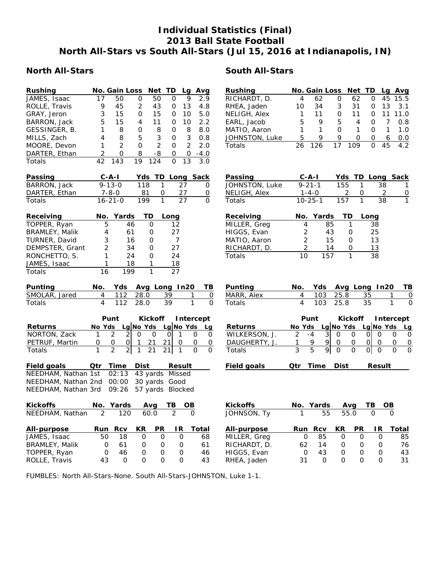## **Individual Statistics (Final) 2013 Ball State Football North All-Stars vs South All-Stars (Jul 15, 2016 at Indianapolis, IN)**

### **North All-Stars South All-Stars**

#### **Rushing No. Gain Loss Net TD Lg Avg** JAMES, Isaac 17 50 0 50 0 9 2.9 ROLLE, Travis 9 45 2 43 0 13 4.8 GRAY, Jeron 3 15 0 15 0 10 5.0 BARRON, Jack 5 15 4 11 0 10 2.2 GESSINGER, B. 1 8 0 8 0 8 8.0 MILLS, Zach 4 8 5 3 0 3 0.8 MOORE, Devon 1 2 0 2 0 2 2.0 DARTER, Ethan 2 0 8 -8 0 0 -4.0 Totals 42 143 19 124 0 13 3.0 **Rushing No. Gain Loss Net TD Lg Avg** RICHARDT, D. 4 62 0 62 0 45 15.5 RHEA, Jaden 10 34 3 31 0 13 3.1 NELIGH, Alex 1 11 0 11 0 11 11.0 EARL, Jacob 5 9 5 4 0 7 0.8 MATIO, Aaron 1 1 0 1 0 1 1.0<br>JOHNSTON Luke 5 9 9 0 0 6 0 0 JOHNSTON, Luke 5 9 9 0 0 6 0.0 Totals 26 126 17 109 0 45 4.2 **Passing C-A-I Yds TD Long Sack** BARRON, Jack 9-13-0 118 1 27 0 DARTER, Ethan 7-8-0 81 0 27 0 Totals 16-21-0 199 1 27 0 **Passing C-A-I Yds TD Long Sack** JOHNSTON, Luke 9-21-1 155 1 38 1 **Receiving No. Yards TD Long** TOPPER, Ryan 5 46 0 12 BRAMLEY, Malik  $4$  61 0 27 TURNER, David 3 16 0 7 DEMPSTER, Grant 2 34 0 27 RONCHETTO, S. 1 24 0 24 JAMES, Isaac 1 18 1 18 Totals 16 199 1 27 **Punting No. Yds Avg Long In20 TB** SMOLAR, Jared 4 112 28.0 39 1 0 Totals 4 112 28.0 39 1 0 **Punt Kickoff Intercept Returns No Yds Lg No Yds Lg No Yds Lg** NORTON, Zack 1 2 2 0 0 0 1 0 0<br>PETRUF, Martin 0 0 0 1 21 21 0 0 0 PETRUF, Martin 0 0 0 1 21 21 0 0 0 Totals 1 2 2 1 21 21 1 0 0 **Field goals 6 Dur Time Dist Result Result**<br>NEEDHAM, Nathan 1st 02:13 43 yards Missed 02:13 43 yards Missed NEEDHAM, Nathan 2nd 00:00 30 yards Good NEEDHAM, Nathan 3rd 09:26 57 yards Blocked **Kickoffs No. Yards Avg TB OB** NEEDHAM, Nathan 2 120 60.0 2 0

| NELIGH, Alex | $1 - 4 - 0$       |    |     |    |  |
|--------------|-------------------|----|-----|----|--|
| Totals       | $10 - 25 - 1$     |    | 157 | 38 |  |
| Receiving    | No. Yards TD Long |    |     |    |  |
| MILLER, Greg |                   | 85 |     | 38 |  |
| HIGGS Evan   |                   | 43 |     | 25 |  |

|    | 43  | 25 |
|----|-----|----|
| っ  | 15  | 13 |
|    | 14  | 13 |
| 10 | 157 | 38 |
|    |     |    |

| <b>Punting</b> |  |               | No. Yds Avg Long In20 TB |   |
|----------------|--|---------------|--------------------------|---|
| MARR, Alex     |  |               | 4 103 25.8 35 1 0        |   |
| Totals         |  | 4 103 25.8 35 |                          | 0 |

|                |        | Punt |   |      |                     | Kickoff Intercept |  |  |
|----------------|--------|------|---|------|---------------------|-------------------|--|--|
| <b>Returns</b> | No Yds |      |   |      | Lg No Yds Lg No Yds |                   |  |  |
| WILKERSON, J.  |        | -4   | ς |      |                     |                   |  |  |
| DAUGHERTY, J.  |        | Q    | g |      |                     |                   |  |  |
| Totals         |        | 5    |   |      |                     |                   |  |  |
| Field goals    |        | Time |   | Dist |                     | Result            |  |  |

| Kickoffs              |     | No. Yards |    | Ava  | TB       | <b>OB</b> | <b>Kickoffs</b> |    | No. Yards |           | Ava       | TB. | <b>OB</b> |    |
|-----------------------|-----|-----------|----|------|----------|-----------|-----------------|----|-----------|-----------|-----------|-----|-----------|----|
| NEEDHAM, Nathan       |     | 120       |    | 60.0 |          |           | JOHNSON, Ty     |    | 55        | 55.0      |           |     |           |    |
| All-purpose           |     | Run Rcv   | KR | PR   | IR.      | Total     | All-purpose     |    | Run Rcv   | <b>KR</b> | <b>PR</b> | IR. | Total     |    |
| JAMES, Isaac          | 50. | 18        |    |      | $\Omega$ | 68        | MILLER, Greg    | 0  | 85        |           |           |     |           | 85 |
| <b>BRAMLEY, Malik</b> |     | - 61      |    |      | $\Omega$ | 61        | RICHARDT, D.    | 62 | 14        |           |           |     |           | 76 |
| TOPPER, Ryan          | 0   | 46        |    |      | $\Omega$ | 46        | HIGGS, Evan     | 0  | 43        |           |           |     |           | 43 |
| ROLLE, Travis         | 43  |           |    |      | 0        | 43        | RHEA, Jaden     | 31 | 0         |           |           |     |           | 31 |

FUMBLES: North All-Stars-None. South All-Stars-JOHNSTON, Luke 1-1.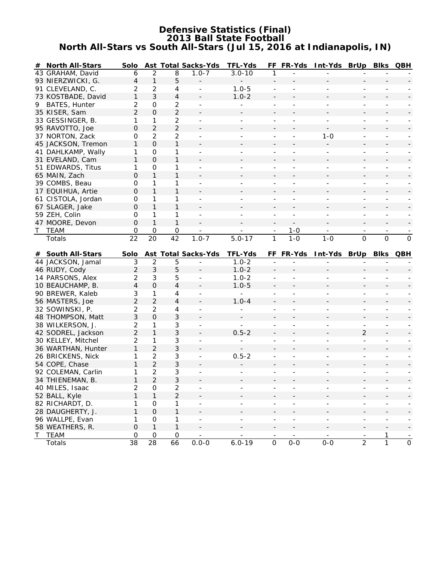## **Defensive Statistics (Final) 2013 Ball State Football North All-Stars vs South All-Stars (Jul 15, 2016 at Indianapolis, IN)**

|    | # North All-Stars  | Solo                |                     |                   | Ast Total Sacks-Yds         | <b>TFL-Yds</b>           |                          | FF FR-Yds                | Int-Yds BrUp Blks QBH    |                          |                          |                       |
|----|--------------------|---------------------|---------------------|-------------------|-----------------------------|--------------------------|--------------------------|--------------------------|--------------------------|--------------------------|--------------------------|-----------------------|
|    | 43 GRAHAM, David   | 6                   | $\overline{2}$      | 8                 | $1.0 - 7$                   | $3.0 - 10$               | 1                        |                          |                          |                          |                          |                       |
|    | 93 NIERZWICKI, G.  | 4                   | $\mathbf{1}$        | 5                 |                             |                          |                          |                          |                          |                          |                          |                       |
|    | 91 CLEVELAND, C.   | 2                   | $\overline{2}$      | 4                 |                             | $1.0 - 5$                | $\overline{a}$           |                          |                          |                          |                          |                       |
|    | 73 KOSTBADE, David | 1                   | 3                   | 4                 |                             | $1.0 - 2$                |                          |                          |                          |                          |                          |                       |
| 9. | BATES, Hunter      | 2                   | $\mathbf 0$         | $\overline{c}$    |                             |                          | L,                       |                          |                          | $\overline{a}$           | ٠                        |                       |
|    | 35 KISER, Sam      | $\overline{2}$      | $\mathbf{O}$        | $\overline{2}$    |                             |                          |                          |                          |                          |                          |                          |                       |
|    | 33 GESSINGER, B.   | 1                   | 1                   | $\overline{c}$    |                             |                          |                          |                          |                          | $\overline{a}$           | $\overline{\phantom{a}}$ |                       |
|    | 95 RAVOTTO, Joe    | $\Omega$            | $\overline{2}$      | $\overline{2}$    |                             |                          |                          |                          |                          |                          |                          |                       |
|    | 37 NORTON, Zack    | 0                   | $\overline{2}$      | 2                 | $\overline{\phantom{a}}$    | $\overline{\phantom{0}}$ | $\overline{\phantom{a}}$ | $\overline{\phantom{a}}$ | $1 - 0$                  | $\overline{\phantom{a}}$ | $\overline{\phantom{a}}$ |                       |
|    | 45 JACKSON, Tremon | 1                   | O                   | 1                 |                             |                          |                          |                          |                          |                          |                          |                       |
|    | 41 DAHLKAMP, Wally | 1                   | $\mathbf 0$         | 1                 | $\blacksquare$              |                          | $\overline{a}$           |                          |                          | $\overline{\phantom{a}}$ | $\overline{\phantom{a}}$ |                       |
|    | 31 EVELAND, Cam    | $\mathbf{1}$        | $\Omega$            | $\mathbf{1}$      |                             |                          |                          |                          |                          |                          |                          |                       |
|    | 51 EDWARDS, Titus  | 1                   | 0                   | 1                 |                             |                          |                          |                          |                          |                          |                          |                       |
|    | 65 MAIN, Zach      | 0                   | 1                   | $\mathbf{1}$      |                             |                          |                          |                          |                          |                          |                          |                       |
|    | 39 COMBS, Beau     | 0                   | 1                   | 1                 |                             |                          |                          |                          |                          |                          |                          |                       |
|    | 17 EQUIHUA, Artie  | 0                   | $\mathbf{1}$        | $\mathbf{1}$      |                             |                          |                          |                          |                          |                          |                          |                       |
|    | 61 CISTOLA, Jordan | 0                   | 1                   | 1                 |                             |                          |                          |                          |                          | $\overline{a}$           | $\overline{a}$           |                       |
|    | 67 SLAGER, Jake    | $\Omega$            | 1                   | $\mathbf{1}$      |                             |                          |                          |                          |                          |                          |                          |                       |
|    | 59 ZEH, Colin      | 0                   | 1                   | 1                 | $\overline{\phantom{a}}$    | $\overline{\phantom{0}}$ | $\overline{\phantom{a}}$ | $\overline{a}$           | $\overline{\phantom{a}}$ | $\overline{a}$           | $\overline{\phantom{a}}$ |                       |
|    | 47 MOORE, Devon    | 0                   | $\mathbf{1}$        | $\mathbf{1}$      |                             |                          |                          |                          |                          |                          |                          |                       |
|    | <b>TEAM</b>        | 0                   | 0                   | 0                 |                             |                          |                          | $1 - 0$                  |                          | $\overline{\phantom{a}}$ |                          |                       |
|    | Totals             | $\overline{22}$     | 20                  | 42                | $1.0 - 7$                   | $5.0 - 17$               | $\mathbf{1}$             | $\overline{1-0}$         | $1 - 0$                  | $\overline{O}$           | $\Omega$                 | $\Omega$              |
|    |                    |                     |                     |                   |                             |                          |                          |                          |                          |                          |                          |                       |
|    | # South All-Stars  | Solo                |                     |                   | <b>Ast Total Sacks-Yds</b>  | <b>TFL-Yds</b>           |                          | FF FR-Yds                | Int-Yds BrUp Blks        |                          |                          | QBH                   |
|    | 44 JACKSON, Jamal  | $\mathfrak{Z}$      | $\overline{2}$      | 5                 |                             | $1.0 - 2$                |                          |                          |                          |                          |                          |                       |
|    | 46 RUDY, Cody      | $\overline{2}$      | $\mathfrak{Z}$      | 5                 |                             | $1.0 - 2$                |                          |                          |                          |                          |                          |                       |
|    | 14 PARSONS, Alex   | 2                   | 3                   | 5                 |                             | $1.0 - 2$                |                          |                          |                          |                          |                          |                       |
|    | 10 BEAUCHAMP, B.   | $\overline{4}$      | $\mathbf 0$         | 4                 |                             | $1.0 - 5$                |                          |                          |                          |                          |                          |                       |
|    | 90 BREWER, Kaleb   | 3                   | 1                   | 4                 | $\overline{\phantom{a}}$    | $\blacksquare$           | $\overline{\phantom{a}}$ | $\overline{a}$           |                          | $\overline{\phantom{m}}$ | $\overline{\phantom{a}}$ |                       |
|    | 56 MASTERS, Joe    | $\overline{2}$      | $\overline{2}$      | 4                 |                             | $1.0 - 4$                |                          |                          |                          |                          |                          |                       |
|    | 32 SOWINSKI, P.    | $\overline{2}$      | $\overline{2}$      | 4                 | $\overline{\phantom{a}}$    | $\overline{\phantom{a}}$ | -                        |                          |                          | $\frac{1}{2}$            | ۰                        |                       |
|    | 48 THOMPSON, Matt  | 3                   | $\Omega$            | 3                 |                             |                          |                          |                          |                          |                          |                          |                       |
|    | 38 WILKERSON, J.   | $\overline{2}$      | 1                   | 3                 |                             | $\overline{a}$           |                          |                          |                          | $\overline{a}$           |                          |                       |
|    | 42 SODREL, Jackson | $\overline{2}$      | $\mathbf{1}$        | 3                 |                             | $0.5 - 2$                |                          |                          |                          | $\overline{2}$           |                          |                       |
|    | 30 KELLEY, Mitchel | 2                   | 1                   | 3                 |                             |                          | ÷,                       |                          |                          |                          |                          |                       |
|    | 36 WARTHAN, Hunter | 1                   | $\overline{2}$      | 3                 |                             |                          |                          |                          |                          |                          |                          |                       |
|    | 26 BRICKENS, Nick  | 1                   | $\overline{2}$      | 3                 | $\blacksquare$              | $0.5 - 2$                |                          |                          |                          | ÷.                       |                          |                       |
|    | 54 COPE, Chase     | 1                   | $\overline{2}$      | 3                 |                             |                          |                          |                          |                          |                          |                          |                       |
|    | 92 COLEMAN, Carlin | 1                   | $\overline{2}$      | 3                 | $\overline{\phantom{a}}$    | $\overline{\phantom{a}}$ | ÷,                       | $\overline{\phantom{a}}$ |                          | $\overline{\phantom{a}}$ | $\overline{\phantom{a}}$ |                       |
|    | 34 THIENEMAN, B.   | 1                   | $\overline{2}$      | 3                 |                             |                          |                          |                          |                          |                          |                          |                       |
|    | 40 MILES, Isaac    | $\overline{c}$      | 0                   | $\overline{c}$    |                             |                          |                          |                          |                          |                          |                          |                       |
|    | 52 BALL, Kyle      | 1                   | $\mathbf{1}$        | $\overline{2}$    |                             |                          |                          |                          |                          |                          |                          |                       |
|    | 82 RICHARDT, D.    | 1                   | 0                   | 1                 |                             |                          |                          |                          |                          | $\overline{a}$           | $\overline{\phantom{0}}$ |                       |
|    | 28 DAUGHERTY, J.   | 1                   | $\mathbf{O}$        | 1                 |                             |                          |                          |                          |                          |                          |                          |                       |
|    |                    |                     |                     |                   |                             |                          |                          |                          |                          |                          |                          |                       |
|    | 96 WALLPE, Evan    | 1                   | $\mathsf{O}\xspace$ | 1                 | $\blacksquare$              |                          |                          | $\overline{\phantom{0}}$ | $\overline{\phantom{0}}$ | -                        | $\frac{1}{2}$            |                       |
|    | 58 WEATHERS, R.    | $\mathsf{O}\xspace$ | $\mathbf{1}$        | $\mathbf{1}$      |                             |                          |                          |                          |                          |                          |                          |                       |
|    | T TEAM<br>Totals   | $\mathbf 0$<br>38   | $\mathbf 0$<br>28   | $\mathsf O$<br>66 | $\blacksquare$<br>$0.0 - 0$ | $6.0 - 19$               | $\overline{0}$           | $0-0$                    | $0-0$                    | $\overline{2}$           | 1<br>$\overline{1}$      | $\overline{\text{O}}$ |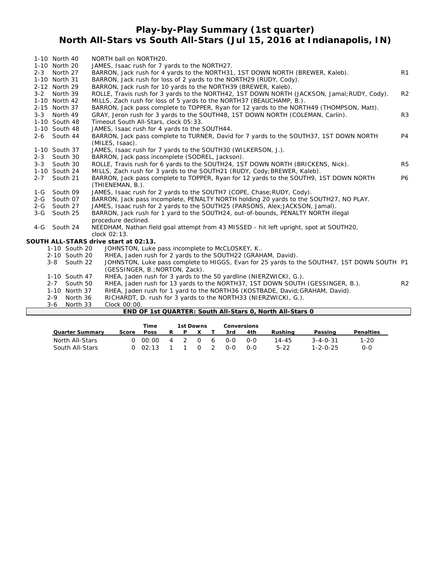## **Play-by-Play Summary (1st quarter) North All-Stars vs South All-Stars (Jul 15, 2016 at Indianapolis, IN)**

|         |               |          | END OF 1st QUARTER: South All-Stars 0, North All-Stars 0                                                         |                |
|---------|---------------|----------|------------------------------------------------------------------------------------------------------------------|----------------|
|         | $3 - 6$       | North 33 | Clock 00:00.                                                                                                     |                |
|         | $2 - 9$       | North 36 | RICHARDT, D. rush for 3 yards to the NORTH33 (NIERZWICKI, G.).                                                   |                |
|         | 1-10 North 37 |          | RHEA, Jaden rush for 1 yard to the NORTH36 (KOSTBADE, David; GRAHAM, David).                                     |                |
|         | $2 - 7$       | South 50 | RHEA, Jaden rush for 13 yards to the NORTH37, 1ST DOWN SOUTH (GESSINGER, B.).                                    | R <sub>2</sub> |
|         | 1-10 South 47 |          | RHEA, Jaden rush for 3 yards to the 50 yardline (NIERZWICKI, G.).                                                |                |
|         |               |          | (GESSINGER, B.; NORTON, Zack).                                                                                   |                |
|         | 3-8 South 22  |          | JOHNSTON, Luke pass complete to HIGGS, Evan for 25 yards to the SOUTH47, 1ST DOWN SOUTH P1                       |                |
|         | 2-10 South 20 |          | RHEA, Jaden rush for 2 yards to the SOUTH22 (GRAHAM, David).                                                     |                |
|         | 1-10 South 20 |          | JOHNSTON, Luke pass incomplete to McCLOSKEY, K                                                                   |                |
|         |               |          | SOUTH ALL-STARS drive start at 02:13.                                                                            |                |
|         |               |          | clock 02:13.                                                                                                     |                |
|         | 4-G South 24  |          | NEEDHAM, Nathan field goal attempt from 43 MISSED - hit left upright, spot at SOUTH20,                           |                |
|         |               |          | procedure declined.                                                                                              |                |
| $3-G$   | South 25      |          | BARRON, Jack rush for 1 yard to the SOUTH24, out-of-bounds, PENALTY NORTH illegal                                |                |
|         | 2-G South 27  |          | JAMES, Isaac rush for 2 yards to the SOUTH25 (PARSONS, Alex; JACKSON, Jamal).                                    |                |
|         | 2-G South 07  |          | BARRON, Jack pass incomplete, PENALTY NORTH holding 20 yards to the SOUTH27, NO PLAY.                            |                |
|         | 1-G South 09  |          | JAMES, Isaac rush for 2 yards to the SOUTH7 (COPE, Chase; RUDY, Cody).                                           |                |
|         |               |          | (THIENEMAN, B.).                                                                                                 |                |
| $2 - 7$ | South 21      |          | BARRON, Jack pass complete to TOPPER, Ryan for 12 yards to the SOUTH9, 1ST DOWN NORTH                            | <b>P6</b>      |
|         | 1-10 South 24 |          | MILLS, Zach rush for 3 yards to the SOUTH21 (RUDY, Cody; BREWER, Kaleb).                                         |                |
| $3 - 3$ | South 30      |          | ROLLE, Travis rush for 6 yards to the SOUTH24, 1ST DOWN NORTH (BRICKENS, Nick).                                  | R <sub>5</sub> |
|         | 2-3 South 30  |          | JAMES, Isaac rush for 7 yards to the SOUTH30 (WILKERSON, J.).<br>BARRON, Jack pass incomplete (SODREL, Jackson). |                |
|         | 1-10 South 37 |          | (MILES, Isaac).                                                                                                  |                |
|         | 2-6 South 44  |          | BARRON, Jack pass complete to TURNER, David for 7 yards to the SOUTH37, 1ST DOWN NORTH                           | P <sub>4</sub> |
|         | 1-10 South 48 |          | JAMES, Isaac rush for 4 yards to the SOUTH44.                                                                    |                |
|         | 1-10 South 48 |          | Timeout South All-Stars, clock 05:33.                                                                            |                |
|         | 3-3 North 49  |          | GRAY, Jeron rush for 3 yards to the SOUTH48, 1ST DOWN NORTH (COLEMAN, Carlin).                                   | R <sub>3</sub> |
|         | 2-15 North 37 |          | BARRON, Jack pass complete to TOPPER, Ryan for 12 yards to the NORTH49 (THOMPSON, Matt).                         |                |
|         | 1-10 North 42 |          | MILLS, Zach rush for loss of 5 yards to the NORTH37 (BEAUCHAMP, B.).                                             |                |
|         | 3-2 North 39  |          | ROLLE, Travis rush for 3 yards to the NORTH42, 1ST DOWN NORTH (JACKSON, Jamal; RUDY, Cody).                      | R2             |
|         | 2-12 North 29 |          | BARRON, Jack rush for 10 yards to the NORTH39 (BREWER, Kaleb).                                                   |                |
|         | 1-10 North 31 |          | BARRON, Jack rush for loss of 2 yards to the NORTH29 (RUDY, Cody).                                               |                |
|         | 2-3 North 27  |          | BARRON, Jack rush for 4 yards to the NORTH31, 1ST DOWN NORTH (BREWER, Kaleb).                                    | R1             |
|         | 1-10 North 20 |          | JAMES, Isaac rush for 7 yards to the NORTH27.                                                                    |                |
|         | 1-10 North 40 |          | NORTH ball on NORTH20.                                                                                           |                |

|                        |       | Time        |   | 1st Downs      |          |     |         | Conversions |         |                  |                  |
|------------------------|-------|-------------|---|----------------|----------|-----|---------|-------------|---------|------------------|------------------|
| <b>Quarter Summary</b> | Score | <b>Poss</b> |   | P              |          |     | 3rd     | 4th         | Rushina | Passing          | <b>Penalties</b> |
| North All-Stars        |       | 0.00:00     | 4 | $\overline{2}$ | $\Omega$ | - 6 | 0-0     | റ-റ         | 14-45   | $3 - 4 - 0 - 31$ | ۔20              |
| South All-Stars        |       | 02:13       |   |                | $\Omega$ |     | $0 - 0$ | റ-റ         | $5-22$  | $1 - 2 - 0 - 25$ | 0-0              |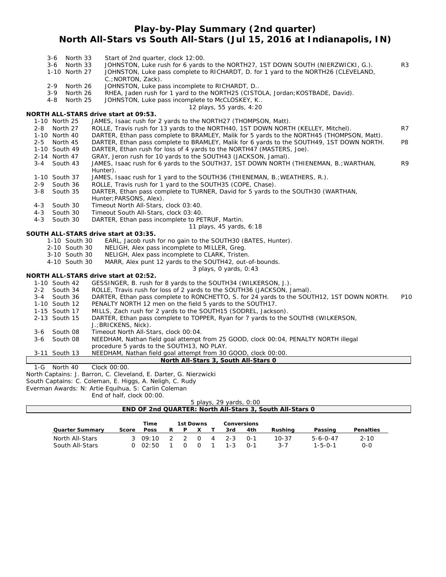## **Play-by-Play Summary (2nd quarter) North All-Stars vs South All-Stars (Jul 15, 2016 at Indianapolis, IN)**

|         | 3-6 North 33        | Start of 2nd quarter, clock 12:00.                                                                       |                 |
|---------|---------------------|----------------------------------------------------------------------------------------------------------|-----------------|
|         | North 33<br>3-6     | JOHNSTON, Luke rush for 6 yards to the NORTH27, 1ST DOWN SOUTH (NIERZWICKI, G.).                         | R <sub>3</sub>  |
|         | 1-10 North 27       | JOHNSTON, Luke pass complete to RICHARDT, D. for 1 yard to the NORTH26 (CLEVELAND,<br>C.; NORTON, Zack). |                 |
|         | $2 - 9$<br>North 26 | JOHNSTON, Luke pass incomplete to RICHARDT, D                                                            |                 |
|         | $3 - 9$<br>North 26 | RHEA, Jaden rush for 1 yard to the NORTH25 (CISTOLA, Jordan; KOSTBADE, David).                           |                 |
|         | 4-8<br>North 25     | JOHNSTON, Luke pass incomplete to McCLOSKEY, K                                                           |                 |
|         |                     | 12 plays, 55 yards, 4:20                                                                                 |                 |
|         |                     | NORTH ALL-STARS drive start at 09:53.                                                                    |                 |
|         | 1-10 North 25       | JAMES, Isaac rush for 2 yards to the NORTH27 (THOMPSON, Matt).                                           |                 |
| $2 - 8$ | North 27            | ROLLE, Travis rush for 13 yards to the NORTH40, 1ST DOWN NORTH (KELLEY, Mitchel).                        | R7              |
|         | 1-10 North 40       | DARTER, Ethan pass complete to BRAMLEY, Malik for 5 yards to the NORTH45 (THOMPSON, Matt).               |                 |
| $2 - 5$ | North 45            | DARTER, Ethan pass complete to BRAMLEY, Malik for 6 yards to the SOUTH49, 1ST DOWN NORTH.                | P <sub>8</sub>  |
|         | 1-10 South 49       | DARTER, Ethan rush for loss of 4 yards to the NORTH47 (MASTERS, Joe).                                    |                 |
|         | 2-14 North 47       | GRAY, Jeron rush for 10 yards to the SOUTH43 (JACKSON, Jamal).                                           |                 |
| $3 - 4$ | South 43            | JAMES, Isaac rush for 6 yards to the SOUTH37, 1ST DOWN NORTH (THIENEMAN, B.; WARTHAN,                    | R <sub>9</sub>  |
|         |                     | Hunter).                                                                                                 |                 |
|         | 1-10 South 37       | JAMES, Isaac rush for 1 yard to the SOUTH36 (THIENEMAN, B.; WEATHERS, R.).                               |                 |
| 2-9     | South 36            | ROLLE, Travis rush for 1 yard to the SOUTH35 (COPE, Chase).                                              |                 |
| $3 - 8$ | South 35            | DARTER, Ethan pass complete to TURNER, David for 5 yards to the SOUTH30 (WARTHAN,                        |                 |
|         |                     | Hunter; PARSONS, Alex).                                                                                  |                 |
| $4 - 3$ | South 30            | Timeout North All-Stars, clock 03:40.                                                                    |                 |
| $4 - 3$ | South 30            | Timeout South All-Stars, clock 03:40.                                                                    |                 |
| $4 - 3$ | South 30            | DARTER, Ethan pass incomplete to PETRUF, Martin.                                                         |                 |
|         |                     | 11 plays, 45 yards, 6:18                                                                                 |                 |
|         | 1-10 South 30       | SOUTH ALL-STARS drive start at 03:35.<br>EARL, Jacob rush for no gain to the SOUTH30 (BATES, Hunter).    |                 |
|         | 2-10 South 30       | NELIGH, Alex pass incomplete to MILLER, Greg.                                                            |                 |
|         | 3-10 South 30       | NELIGH, Alex pass incomplete to CLARK, Tristen.                                                          |                 |
|         | 4-10 South 30       | MARR, Alex punt 12 yards to the SOUTH42, out-of-bounds.                                                  |                 |
|         |                     | 3 plays, 0 yards, 0:43                                                                                   |                 |
|         |                     | NORTH ALL-STARS drive start at 02:52.                                                                    |                 |
|         | 1-10 South 42       | GESSINGER, B. rush for 8 yards to the SOUTH34 (WILKERSON, J.).                                           |                 |
|         | 2-2 South 34        | ROLLE, Travis rush for loss of 2 yards to the SOUTH36 (JACKSON, Jamal).                                  |                 |
| $3 - 4$ | South 36            | DARTER, Ethan pass complete to RONCHETTO, S. for 24 yards to the SOUTH12, 1ST DOWN NORTH.                | P <sub>10</sub> |
|         | 1-10 South 12       | PENALTY NORTH 12 men on the field 5 yards to the SOUTH17.                                                |                 |
|         | 1-15 South 17       | MILLS, Zach rush for 2 yards to the SOUTH15 (SODREL, Jackson).                                           |                 |
|         | 2-13 South 15       | DARTER, Ethan pass complete to TOPPER, Ryan for 7 yards to the SOUTH8 (WILKERSON,                        |                 |
|         |                     | J.; BRICKENS, Nick).                                                                                     |                 |
| $3-6$   | South 08            | Timeout North All-Stars, clock 00:04.                                                                    |                 |
| $3 - 6$ | South 08            | NEEDHAM, Nathan field goal attempt from 25 GOOD, clock 00:04, PENALTY NORTH illegal                      |                 |
|         |                     | procedure 5 yards to the SOUTH13, NO PLAY.                                                               |                 |
|         | 3-11 South 13       | NEEDHAM, Nathan field goal attempt from 30 GOOD, clock 00:00.                                            |                 |
|         |                     | North All-Stars 3, South All-Stars 0                                                                     |                 |
| 1-G     | North 40            | Clock 00:00.                                                                                             |                 |

*North Captains: J. Barron, C. Cleveland, E. Darter, G. Nierzwicki South Captains: C. Coleman, E. Higgs, A. Neligh, C. Rudy Everman Awards: N: Artie Equihua, S: Carlin Coleman*

End of half, clock 00:00.

|                        | LIN OF HAIR CROCK OO. OO. |             |   |          |              |   |                         |         |                                                                 |                  |                  |
|------------------------|---------------------------|-------------|---|----------|--------------|---|-------------------------|---------|-----------------------------------------------------------------|------------------|------------------|
|                        |                           |             |   |          |              |   | 5 plays, 29 yards, 0:00 |         |                                                                 |                  |                  |
|                        |                           |             |   |          |              |   |                         |         | <b>END OF 2nd QUARTER: North All-Stars 3, South All-Stars 0</b> |                  |                  |
|                        |                           |             |   |          |              |   |                         |         |                                                                 |                  |                  |
|                        |                           | Time        |   |          | 1st Downs    |   | <b>Conversions</b>      |         |                                                                 |                  |                  |
| <b>Quarter Summary</b> | Score                     | <b>Poss</b> | R | <b>D</b> |              |   | 3rd                     | 4th     | Rushina                                                         | Passing          | <b>Penalties</b> |
|                        |                           |             |   |          |              |   |                         |         |                                                                 |                  |                  |
| North All-Stars        |                           | 3 $09:10$   |   | - 2      | <sup>o</sup> | 4 | $2 - 3$                 | $O - 1$ | $10 - 37$                                                       | $5 - 6 - 0 - 47$ | $2 - 10$         |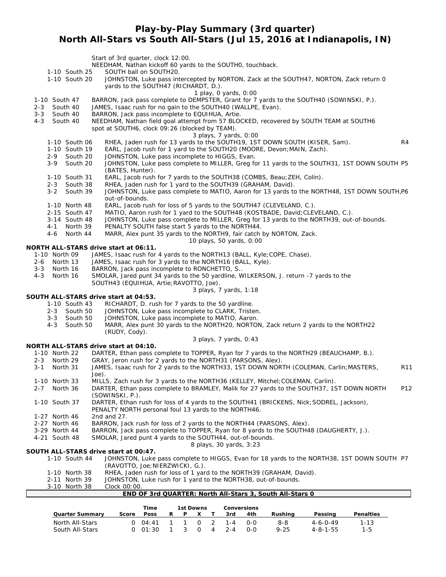## **Play-by-Play Summary (3rd quarter) North All-Stars vs South All-Stars (Jul 15, 2016 at Indianapolis, IN)**

Start of 3rd quarter, clock 12:00. NEEDHAM, Nathan kickoff 60 yards to the SOUTH0, touchback. 1-10 South 25 SOUTH ball on SOUTH20. 1-10 South 20 JOHNSTON, Luke pass intercepted by NORTON, Zack at the SOUTH47, NORTON, Zack return 0 yards to the SOUTH47 (RICHARDT, D.). *1 play, 0 yards, 0:00* 1-10 South 47 BARRON, Jack pass complete to DEMPSTER, Grant for 7 yards to the SOUTH40 (SOWINSKI, P.). 2-3 South 40 JAMES, Isaac rush for no gain to the SOUTH40 (WALLPE, Evan). 3-3 South 40 BARRON, Jack pass incomplete to EQUIHUA, Artie. 4-3 South 40 NEEDHAM, Nathan field goal attempt from 57 BLOCKED, recovered by SOUTH TEAM at SOUTH6 spot at SOUTH6, clock 09:26 (blocked by TEAM). *3 plays, 7 yards, 0:00* 1-10 South 06 RHEA, Jaden rush for 13 yards to the SOUTH19, 1ST DOWN SOUTH (KISER, Sam). <br>1-10 South 19 EARL. Jacob rush for 1 yard to the SOUTH20 (MOORE, Devon; MAIN, Zach). 1-10 South 19 EARL, Jacob rush for 1 yard to the SOUTH20 (MOORE, Devon; MAIN, Zach).<br>2-9 South 20 JOHNSTON, Luke pass incomplete to HIGGS, Evan. 2-9 South 20 JOHNSTON, Luke pass incomplete to HIGGS, Evan.<br>2-9 South 20 JOHNSTON, Luke pass complete to MILLER, Greg fo JOHNSTON, Luke pass complete to MILLER, Greg for 11 yards to the SOUTH31, 1ST DOWN SOUTH P5 (BATES, Hunter). 1-10 South 31 EARL, Jacob rush for 7 yards to the SOUTH38 (COMBS, Beau;ZEH, Colin). 2-3 South 38 RHEA, Jaden rush for 1 yard to the SOUTH39 (GRAHAM, David). 3-2 South 39 JOHNSTON, Luke pass complete to MATIO, Aaron for 13 yards to the NORTH48, 1ST DOWN SOUTH,P6 out-of-bounds. 1-10 North 48 EARL, Jacob rush for loss of 5 yards to the SOUTH47 (CLEVELAND, C.). 2-15 South 47 MATIO, Aaron rush for 1 yard to the SOUTH48 (KOSTBADE, David;CLEVELAND, C.). 3-14 South 48 JOHNSTON, Luke pass complete to MILLER, Greg for 13 yards to the NORTH39, out-of-bounds. 4-1 North 39 PENALTY SOUTH false start 5 yards to the NORTH44. 4-6 North 44 MARR, Alex punt 35 yards to the NORTH9, fair catch by NORTON, Zack. *10 plays, 50 yards, 0:00* **NORTH ALL-STARS drive start at 06:11.** JAMES, Isaac rush for 4 yards to the NORTH13 (BALL, Kyle; COPE, Chase). 2-6 North 13 JAMES, Isaac rush for 3 yards to the NORTH16 (BALL, Kyle). 3-3 North 16 BARRON, Jack pass incomplete to RONCHETTO, S.. 4-3 North 16 SMOLAR, Jared punt 34 yards to the 50 yardline, WILKERSON, J. return -7 yards to the SOUTH43 (EQUIHUA, Artie;RAVOTTO, Joe). *3 plays, 7 yards, 1:18* **SOUTH ALL-STARS drive start at 04:53.** 1-10 South 43 RICHARDT, D. rush for 7 yards to the 50 yardline. 2-3 South 50 JOHNSTON, Luke pass incomplete to CLARK, Tristen. 3-3 South 50 JOHNSTON, Luke pass incomplete to MATIO, Aaron. 4-3 South 50 MARR, Alex punt 30 yards to the NORTH20, NORTON, Zack return 2 yards to the NORTH22 (RUDY, Cody). *3 plays, 7 yards, 0:43* **NORTH ALL-STARS drive start at 04:10.** North 22 DARTER, Ethan pass complete to TOPPER, Ryan for 7 yards to the NORTH29 (BEAUCHAMP, B.).<br>North 29 GRAY, Jeron rush for 2 yards to the NORTH31 (PARSONS, Alex). 2-3 North 29 GRAY, Jeron rush for 2 yards to the NORTH31 (PARSONS, Alex). 3-1 North 31 JAMES, Isaac rush for 2 yards to the NORTH33, 1ST DOWN NORTH (COLEMAN, Carlin; MASTERS, R11 Joe). 1-10 North 33 MILLS, Zach rush for 3 yards to the NORTH36 (KELLEY, Mitchel;COLEMAN, Carlin). 2-7 North 36 DARTER, Ethan pass complete to BRAMLEY, Malik for 27 yards to the SOUTH37, 1ST DOWN NORTH P12 (SOWINSKI, P.). 1-10 South 37 DARTER, Ethan rush for loss of 4 yards to the SOUTH41 (BRICKENS, Nick;SODREL, Jackson), PENALTY NORTH personal foul 13 yards to the NORTH46. 1-27 North 46 2nd and 27. 2-27 North 46 BARRON, Jack rush for loss of 2 yards to the NORTH44 (PARSONS, Alex). 3-29 North 44 BARRON, Jack pass complete to TOPPER, Ryan for 8 yards to the SOUTH48 (DAUGHERTY, J.). 4-21 South 48 SMOLAR, Jared punt 4 yards to the SOUTH44, out-of-bounds. *8 plays, 30 yards, 3:23* **SOUTH ALL-STARS drive start at 00:47.** 1-10 South 44 JOHNSTON, Luke pass complete to HIGGS, Evan for 18 yards to the NORTH38, 1ST DOWN SOUTH P7 (RAVOTTO, Joe;NIERZWICKI, G.). 1-10 North 38 RHEA, Jaden rush for loss of 1 yard to the NORTH39 (GRAHAM, David). 2-11 North 39 JOHNSTON, Luke rush for 1 yard to the NORTH38, out-of-bounds. 3-10 North 38 Clock 00:00. **END OF 3rd QUARTER: North All-Stars 3, South All-Stars 0**

|                        |       | Time            | 1st Downs |   |           |   |         | <b>Conversions</b> |          |                  |           |
|------------------------|-------|-----------------|-----------|---|-----------|---|---------|--------------------|----------|------------------|-----------|
| <b>Quarter Summary</b> | Score | Poss            | D.        | Þ |           |   | 3rd     | 4th                | Rushina  | Passing          | Penalties |
| North All-Stars        |       | $0.04 \cdot 41$ |           |   | <u>ິດ</u> |   | $1 - 4$ | റ-റ                | 8-8      | $4 - 6 - 0 - 49$ | $1 - 13$  |
| South All-Stars        |       | 0.01:30         |           |   | n.        | 4 | $2 - 4$ | $O-O$              | $9 - 25$ | 4-8-1-55         | 1-5       |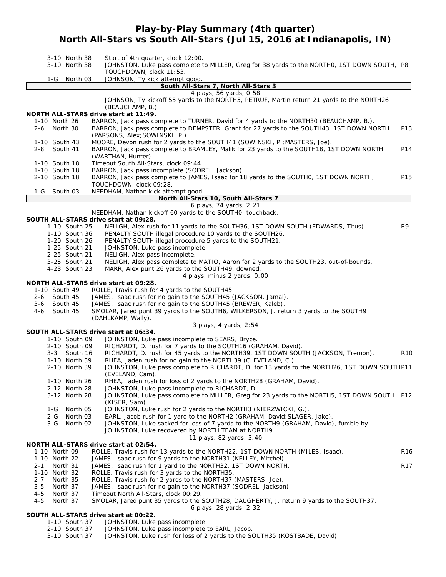## **Play-by-Play Summary (4th quarter) North All-Stars vs South All-Stars (Jul 15, 2016 at Indianapolis, IN)**

| 3-10 North 38<br>3-10 North 38                         | Start of 4th quarter, clock 12:00.<br>JOHNSTON, Luke pass complete to MILLER, Greg for 38 yards to the NORTHO, 1ST DOWN SOUTH, P8<br>TOUCHDOWN, clock 11:53.                                                           |                 |  |  |  |  |  |
|--------------------------------------------------------|------------------------------------------------------------------------------------------------------------------------------------------------------------------------------------------------------------------------|-----------------|--|--|--|--|--|
| 1-G<br>North 03                                        | JOHNSON, Ty kick attempt good.                                                                                                                                                                                         |                 |  |  |  |  |  |
|                                                        | South All-Stars 7, North All-Stars 3                                                                                                                                                                                   |                 |  |  |  |  |  |
| NORTH ALL-STARS drive start at 11:49.                  | 4 plays, 56 yards, 0:58<br>JOHNSON, Ty kickoff 55 yards to the NORTH5, PETRUF, Martin return 21 yards to the NORTH26<br>(BEAUCHAMP, B.).                                                                               |                 |  |  |  |  |  |
| 1-10 North 26<br>North 30<br>2-6                       | BARRON, Jack pass complete to TURNER, David for 4 yards to the NORTH30 (BEAUCHAMP, B.).<br>BARRON, Jack pass complete to DEMPSTER, Grant for 27 yards to the SOUTH43, 1ST DOWN NORTH<br>(PARSONS, Alex; SOWINSKI, P.). | P13             |  |  |  |  |  |
| 1-10 South 43<br>$2 - 8$<br>South 41                   | MOORE, Devon rush for 2 yards to the SOUTH41 (SOWINSKI, P.; MASTERS, Joe).<br>BARRON, Jack pass complete to BRAMLEY, Malik for 23 yards to the SOUTH18, 1ST DOWN NORTH<br>(WARTHAN, Hunter).                           | P14             |  |  |  |  |  |
| 1-10 South 18                                          | Timeout South All-Stars, clock 09:44.                                                                                                                                                                                  |                 |  |  |  |  |  |
| 1-10 South 18                                          | BARRON, Jack pass incomplete (SODREL, Jackson).                                                                                                                                                                        |                 |  |  |  |  |  |
| 2-10 South 18                                          | BARRON, Jack pass complete to JAMES, Isaac for 18 yards to the SOUTHO, 1ST DOWN NORTH,<br>TOUCHDOWN, clock 09:28.                                                                                                      | P15             |  |  |  |  |  |
| 1-G<br>South 03                                        | NEEDHAM, Nathan kick attempt good.                                                                                                                                                                                     |                 |  |  |  |  |  |
|                                                        | North All-Stars 10, South All-Stars 7                                                                                                                                                                                  |                 |  |  |  |  |  |
|                                                        | 6 plays, 74 yards, 2:21                                                                                                                                                                                                |                 |  |  |  |  |  |
|                                                        | NEEDHAM, Nathan kickoff 60 yards to the SOUTHO, touchback.                                                                                                                                                             |                 |  |  |  |  |  |
| SOUTH ALL-STARS drive start at 09:28.                  |                                                                                                                                                                                                                        |                 |  |  |  |  |  |
| 1-10 South 25                                          | NELIGH, Alex rush for 11 yards to the SOUTH36, 1ST DOWN SOUTH (EDWARDS, Titus).                                                                                                                                        | R9              |  |  |  |  |  |
| 1-10 South 36                                          | PENALTY SOUTH illegal procedure 10 yards to the SOUTH26.                                                                                                                                                               |                 |  |  |  |  |  |
| 1-20 South 26                                          | PENALTY SOUTH illegal procedure 5 yards to the SOUTH21.                                                                                                                                                                |                 |  |  |  |  |  |
| 1-25 South 21                                          | JOHNSTON, Luke pass incomplete.                                                                                                                                                                                        |                 |  |  |  |  |  |
| 2-25 South 21<br>3-25 South 21                         | NELIGH, Alex pass incomplete.                                                                                                                                                                                          |                 |  |  |  |  |  |
| 4-23 South 23                                          | NELIGH, Alex pass complete to MATIO, Aaron for 2 yards to the SOUTH23, out-of-bounds.                                                                                                                                  |                 |  |  |  |  |  |
|                                                        | MARR, Alex punt 26 yards to the SOUTH49, downed.<br>4 plays, minus 2 yards, 0:00                                                                                                                                       |                 |  |  |  |  |  |
| NORTH ALL-STARS drive start at 09:28.                  |                                                                                                                                                                                                                        |                 |  |  |  |  |  |
| 1-10 South 49                                          | ROLLE, Travis rush for 4 yards to the SOUTH45.                                                                                                                                                                         |                 |  |  |  |  |  |
| South 45<br>2-6                                        | JAMES, Isaac rush for no gain to the SOUTH45 (JACKSON, Jamal).                                                                                                                                                         |                 |  |  |  |  |  |
| 3-6<br>South 45                                        | JAMES, Isaac rush for no gain to the SOUTH45 (BREWER, Kaleb).                                                                                                                                                          |                 |  |  |  |  |  |
| South 45<br>4-6                                        | SMOLAR, Jared punt 39 yards to the SOUTH6, WILKERSON, J. return 3 yards to the SOUTH9                                                                                                                                  |                 |  |  |  |  |  |
|                                                        | (DAHLKAMP, Wally).                                                                                                                                                                                                     |                 |  |  |  |  |  |
|                                                        | 3 plays, 4 yards, 2:54                                                                                                                                                                                                 |                 |  |  |  |  |  |
| SOUTH ALL-STARS drive start at 06:34.                  |                                                                                                                                                                                                                        |                 |  |  |  |  |  |
| 1-10 South 09                                          | JOHNSTON, Luke pass incomplete to SEARS, Bryce.                                                                                                                                                                        |                 |  |  |  |  |  |
| 2-10 South 09                                          | RICHARDT, D. rush for 7 yards to the SOUTH16 (GRAHAM, David).                                                                                                                                                          |                 |  |  |  |  |  |
| 3-3 South 16                                           | RICHARDT, D. rush for 45 yards to the NORTH39, 1ST DOWN SOUTH (JACKSON, Tremon).                                                                                                                                       | R <sub>10</sub> |  |  |  |  |  |
| 1-10 North 39                                          | RHEA, Jaden rush for no gain to the NORTH39 (CLEVELAND, C.).                                                                                                                                                           |                 |  |  |  |  |  |
| 2-10 North 39                                          | JOHNSTON, Luke pass complete to RICHARDT, D. for 13 yards to the NORTH26, 1ST DOWN SOUTHP11                                                                                                                            |                 |  |  |  |  |  |
|                                                        | (EVELAND, Cam).                                                                                                                                                                                                        |                 |  |  |  |  |  |
| 1-10 North 26                                          | RHEA, Jaden rush for loss of 2 yards to the NORTH28 (GRAHAM, David).                                                                                                                                                   |                 |  |  |  |  |  |
| 2-12 North 28                                          | JOHNSTON, Luke pass incomplete to RICHARDT, D                                                                                                                                                                          |                 |  |  |  |  |  |
| 3-12 North 28                                          | JOHNSTON, Luke pass complete to MILLER, Greg for 23 yards to the NORTH5, 1ST DOWN SOUTH P12                                                                                                                            |                 |  |  |  |  |  |
| North 05                                               | (KISER, Sam).<br>JOHNSTON, Luke rush for 2 yards to the NORTH3 (NIERZWICKI, G.).                                                                                                                                       |                 |  |  |  |  |  |
| 1-G<br>2-G<br>North 03                                 | EARL, Jacob rush for 1 yard to the NORTH2 (GRAHAM, David; SLAGER, Jake).                                                                                                                                               |                 |  |  |  |  |  |
| North 02<br>3-G                                        | JOHNSTON, Luke sacked for loss of 7 yards to the NORTH9 (GRAHAM, David), fumble by                                                                                                                                     |                 |  |  |  |  |  |
|                                                        | JOHNSTON, Luke recovered by NORTH TEAM at NORTH9.                                                                                                                                                                      |                 |  |  |  |  |  |
|                                                        | 11 plays, 82 yards, 3:40                                                                                                                                                                                               |                 |  |  |  |  |  |
| NORTH ALL-STARS drive start at 02:54.                  |                                                                                                                                                                                                                        |                 |  |  |  |  |  |
| 1-10 North 09                                          | ROLLE, Travis rush for 13 yards to the NORTH22, 1ST DOWN NORTH (MILES, Isaac).                                                                                                                                         | R <sub>16</sub> |  |  |  |  |  |
| 1-10 North 22                                          | JAMES, Isaac rush for 9 yards to the NORTH31 (KELLEY, Mitchel).                                                                                                                                                        |                 |  |  |  |  |  |
| 2-1<br>North 31                                        | JAMES, Isaac rush for 1 yard to the NORTH32, 1ST DOWN NORTH.                                                                                                                                                           | R <sub>17</sub> |  |  |  |  |  |
| 1-10 North 32                                          | ROLLE, Travis rush for 3 yards to the NORTH35.                                                                                                                                                                         |                 |  |  |  |  |  |
| North 35<br>$2 - 7$                                    | ROLLE, Travis rush for 2 yards to the NORTH37 (MASTERS, Joe).                                                                                                                                                          |                 |  |  |  |  |  |
| $3 - 5$<br>North 37                                    | JAMES, Isaac rush for no gain to the NORTH37 (SODREL, Jackson).                                                                                                                                                        |                 |  |  |  |  |  |
| $4 - 5$<br>North 37                                    | Timeout North All-Stars, clock 00:29.                                                                                                                                                                                  |                 |  |  |  |  |  |
| $4 - 5$<br>North 37                                    | SMOLAR, Jared punt 35 yards to the SOUTH28, DAUGHERTY, J. return 9 yards to the SOUTH37.                                                                                                                               |                 |  |  |  |  |  |
|                                                        | 6 plays, 28 yards, 2:32                                                                                                                                                                                                |                 |  |  |  |  |  |
| SOUTH ALL-STARS drive start at 00:22.<br>1-10 South 37 | JOHNSTON, Luke pass incomplete.                                                                                                                                                                                        |                 |  |  |  |  |  |

- 2-10 South 37 JOHNSTON, Luke pass incomplete to EARL, Jacob.
- 3-10 South 37 JOHNSTON, Luke rush for loss of 2 yards to the SOUTH35 (KOSTBADE, David).